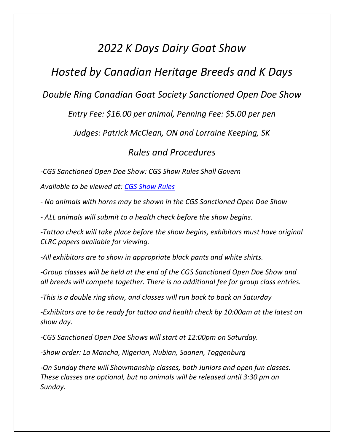# *2022 K Days Dairy Goat Show*

# *Hosted by Canadian Heritage Breeds and K Days*

### *Double Ring Canadian Goat Society Sanctioned Open Doe Show*

### *Entry Fee: \$16.00 per animal, Penning Fee: \$5.00 per pen*

*Judges: Patrick McClean, ON and Lorraine Keeping, SK*

### *Rules and Procedures*

*-CGS Sanctioned Open Doe Show: CGS Show Rules Shall Govern*

*Available to be viewed at: CGS Show Rules*

*- No animals with horns may be shown in the CGS Sanctioned Open Doe Show* 

*- ALL animals will submit to a health check before the show begins.* 

*-Tattoo check will take place before the show begins, exhibitors must have original CLRC papers available for viewing.* 

*-All exhibitors are to show in appropriate black pants and white shirts.* 

*-Group classes will be held at the end of the CGS Sanctioned Open Doe Show and all breeds will compete together. There is no additional fee for group class entries.*

*-This is a double ring show, and classes will run back to back on Saturday*

*-Exhibitors are to be ready for tattoo and health check by 10:00am at the latest on show day.* 

*-CGS Sanctioned Open Doe Shows will start at 12:00pm on Saturday.* 

*-Show order: La Mancha, Nigerian, Nubian, Saanen, Toggenburg*

*-On Sunday there will Showmanship classes, both Juniors and open fun classes. These classes are optional, but no animals will be released until 3:30 pm on Sunday.*